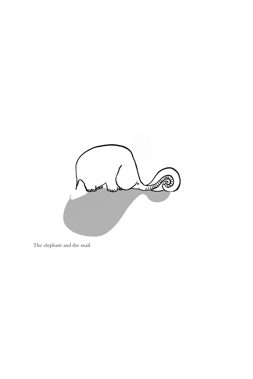

The elephant and the snail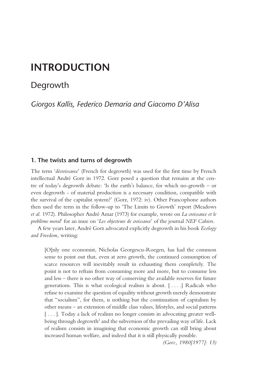# **INTRODUCTION**

# Degrowth

*Giorgos Kallis, Federico Demaria and Giacomo D'Alisa*

# **1. The twists and turns of degrowth**

The term '*décroissance*' (French for degrowth) was used for the first time by French intellectual André Gorz in 1972. Gorz posed a question that remains at the centre of today's degrowth debate: 'Is the earth's balance, for which no-growth – or even degrowth - of material production is a necessary condition, compatible with the survival of the capitalist system?' (Gorz, 1972: iv). Other Francophone authors then used the term in the follow-up to 'The Limits to Growth' report (Meadows *et al.* 1972). Philosopher André Amar (1973) for example, wrote on *La croissance et le problème moral*<sup>1</sup> for an issue on '*Les objecteurs de croissance*' of the journal *NEF Cahiers*.

A few years later, André Gorz advocated explicitly degrowth in his book *Ecology and Freedom,* writing:

[O]nly one economist, Nicholas Georgescu-Roegen, has had the common sense to point out that, even at zero growth, the continued consumption of scarce resources will inevitably result in exhausting them completely. The point is not to refrain from consuming more and more, but to consume less and less – there is no other way of conserving the available reserves for future generations. This is what ecological realism is about. [ . . . .] Radicals who refuse to examine the question of equality without growth merely demonstrate that "socialism", for them, is nothing but the continuation of capitalism by other means – an extension of middle class values, lifestyles, and social patterns [ . . . ]. Today a lack of realism no longer consists in advocating greater wellbeing through degrowth<sup>2</sup> and the subversion of the prevailing way of life. Lack of realism consists in imagining that economic growth can still bring about increased human welfare, and indeed that it is still physically possible.

*(Gorz, 1980[1977]: 13)*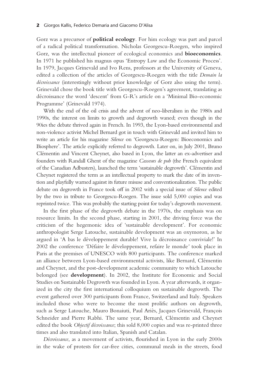Gorz was a precursor of **political ecology**. For him ecology was part and parcel of a radical political transformation. Nicholas Georgescu-Roegen, who inspired Gorz, was the intellectual pioneer of ecological economics and **bioeconomics**. In 1971 he published his magnus opus 'Entropy Law and the Economic Process'. In 1979, Jacques Grinevald and Ivo Rens, professors at the University of Geneva, edited a collection of the articles of Georgescu-Roegen with the title *Demain la décroissance* (interestingly without prior knowledge of Gorz also using the term). Grinevald chose the book title with Georgescu-Roegen's agreement, translating as décroissance the word 'descent' from G-R's article on a 'Minimal Bio-economic Programme' (Grinevald 1974).

With the end of the oil crisis and the advent of neo-liberalism in the 1980s and 1990s, the interest on limits to growth and degrowth waned; even though in the 90ies the debate thrived again in French. In 1993, the Lyon-based environmental and non-violence activist Michel Bernard got in touch with Grinevald and invited him to write an article for his magazine *Silence* on 'Georgescu-Roegen: Bioeconomics and Biosphere'. The article explicitly referred to degrowth. Later on, in July 2001, Bruno Clémentin and Vincent Cheynet, also based in Lyon, the latter an ex-advertiser and founders with Randall Ghent of the magazine *Casseurs de pub* (the French equivalent of the Canadian Adbusters), launched the term 'sustainable degrowth'. Clémentin and Cheynet registered the term as an intellectual property to mark the date of its invention and playfully warned against its future misuse and conventionalization. The public debate on degrowth in France took off in 2002 with a special issue of *Silence* edited by the two in tribute to Georgescu-Roegen. The issue sold 5,000 copies and was reprinted twice. This was probably the starting point for today's degrowth movement.

In the first phase of the degrowth debate in the 1970s, the emphasis was on resource limits. In the second phase, starting in 2001, the driving force was the criticism of the hegemonic idea of 'sustainable development'. For economic anthropologist Serge Latouche, sustainable development was an oxymoron, as he argued in 'A bas le développement durable! Vive la décroissance conviviale!' In 2002 the conference 'Défaire le développement, refaire le monde*'* took place in Paris at the premises of UNESCO with 800 participants. The conference marked an alliance between Lyon-based environmental activists, like Bernard, Clémentin and Cheynet, and the post-development academic community to which Latouche belonged (see **development**). In 2002, the Institute for Economic and Social Studies on Sustainable Degrowth was founded in Lyon. A year afterwards, it organized in the city the first international colloquium on sustainable degrowth. The event gathered over 300 participants from France, Switzerland and Italy. Speakers included those who were to become the most prolific authors on degrowth, such as Serge Latouche, Mauro Bonaiuti, Paul Ariès, Jacques Grinevald, François Schneider and Pierre Rabhi. The same year, Bernard, Clémentin and Cheynet edited the book *Objectif décroissance*; this sold 8,000 copies and was re-printed three times and also translated into Italian, Spanish and Catalan.

*Décroissance*, as a movement of activists, flourished in Lyon in the early 2000s in the wake of protests for car-free cities, communal meals in the streets, food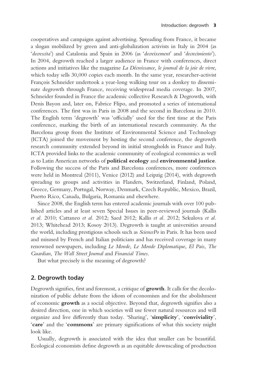cooperatives and campaigns against advertising. Spreading from France, it became a slogan mobilized by green and anti-globalization activists in Italy in 2004 (as '*decrescita*') and Catalonia and Spain in 2006 (as '*decreixement*' and '*decrecimiento*'). In 2004, degrowth reached a larger audience in France with conferences, direct actions and initiatives like the magazine *La Décroissance, le journal de la joie de vivre*, which today sells 30,000 copies each month. In the same year, researcher-activist François Schneider undertook a year-long walking tour on a donkey to disseminate degrowth through France, receiving widespread media coverage. In 2007, Schneider founded in France the academic collective Research & Degrowth, with Denis Bayon and, later on, Fabrice Flipo, and promoted a series of international conferences. The first was in Paris in 2008 and the second in Barcelona in 2010. The English term 'degrowth' was 'officially' used for the first time at the Paris conference, marking the birth of an international research community. As the Barcelona group from the Institute of Environmental Science and Technology (ICTA) joined the movement by hosting the second conference, the degrowth research community extended beyond its initial strongholds in France and Italy. ICTA provided links to the academic community of ecological economics as well as to Latin American networks of **political ecology** and **environmental justice**. Following the success of the Paris and Barcelona conferences, more conferences were held in Montreal (2011), Venice (2012) and Leipzig (2014), with degrowth spreading to groups and activities in Flanders, Switzerland, Finland, Poland, Greece, Germany, Portugal, Norway, Denmark, Czech Republic, Mexico, Brazil, Puerto Rico, Canada, Bulgaria, Romania and elsewhere.

Since 2008, the English term has entered academic journals with over 100 published articles and at least seven Special Issues in peer-reviewed journals (Kallis *et al.* 2010; Cattaneo *et al.* 2012; Saed 2012; Kallis *et al.* 2012; Sekulova *et al.* 2013; Whitehead 2013; Kosoy 2013). Degrowth is taught at universities around the world, including prestigious schools such as *SciencePo* in Paris. It has been used and misused by French and Italian politicians and has received coverage in many renowned newspapers, including *Le Monde*, *Le Monde Diplomatique*, *El Pais*, *The Guardian*, *The Wall Street Journal* and *Financial Times*.

But what precisely is the meaning of degrowth?

# **2. Degrowth today**

Degrowth signifies, first and foremost, a critique of **growth**. It calls for the decolonization of public debate from the idiom of economism and for the abolishment of economic **growth** as a social objective. Beyond that, degrowth signifies also a desired direction, one in which societies will use fewer natural resources and will organize and live differently than today. 'Sharing', '**simplicity**', '**conviviality**', '**care**' and the '**commons**' are primary significations of what this society might look like.

Usually, degrowth is associated with the idea that smaller can be beautiful. Ecological economists define degrowth as an equitable downscaling of production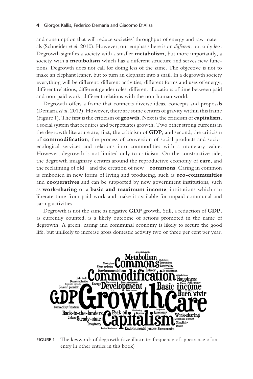and consumption that will reduce societies' throughput of energy and raw materials (Schneider *et al.* 2010). However, our emphasis here is on *different,* not only *less*. Degrowth signifies a society with a smaller **metabolism**, but more importantly, a society with a **metabolism** which has a different structure and serves new functions. Degrowth does not call for doing less of the same. The objective is not to make an elephant leaner, but to turn an elephant into a snail. In a degrowth society everything will be different: different activities, different forms and uses of energy, different relations, different gender roles, different allocations of time between paid and non-paid work, different relations with the non-human world.

Degrowth offers a frame that connects diverse ideas, concepts and proposals (Demaria *et al.* 2013). However, there are some centres of gravity within this frame (Figure 1). The first is the criticism of **growth**. Next is the criticism of **capitalism**, a social system that requires and perpetuates growth. Two other strong currents in the degrowth literature are, first, the criticism of **GDP**, and second, the criticism of **commodification**, the process of conversion of social products and socioecological services and relations into commodities with a monetary value. However, degrowth is not limited only to criticism. On the constructive side, the degrowth imaginary centres around the reproductive economy of **care**, and the reclaiming of old – and the creation of new – **commons**. Caring in common is embodied in new forms of living and producing, such as **eco-communities**  and **cooperatives** and can be supported by new government institutions, such as **work-sharing** or a **basic and maximum income**, institutions which can liberate time from paid work and make it available for unpaid communal and caring activities.

Degrowth is not the same as negative **GDP** growth. Still, a reduction of **GDP**, as currently counted, is a likely outcome of actions promoted in the name of degrowth. A green, caring and communal economy is likely to secure the good life, but unlikely to increase gross domestic activity two or three per cent per year.



**FIGURE 1** The keywords of degrowth (size illustrates frequency of appearance of an entry in other entries in this book)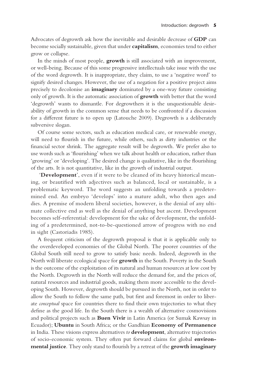Advocates of degrowth ask how the inevitable and desirable decrease of **GDP** can become socially sustainable, given that under **capitalism**, economies tend to either grow or collapse.

In the minds of most people, **growth** is still associated with an improvement, or well-being. Because of this some progressive intellectuals take issue with the use of the word degrowth. It is inappropriate, they claim, to use a 'negative word' to signify desired changes. However, the use of a negation for a positive project aims precisely to decolonise an **imaginary** dominated by a one-way future consisting only of growth. It is the automatic association of **growth** with better that the word 'degrowth' wants to dismantle. For degrowthers it is the unquestionable desirability of growth in the common sense that needs to be confronted if a discussion for a different future is to open up (Latouche 2009). Degrowth is a deliberately subversive slogan.

Of course some sectors, such as education medical care, or renewable energy, will need to flourish in the future, while others, such as dirty industries or the financial sector shrink. The aggregate result will be degrowth. We prefer also to use words such as 'flourishing' when we talk about health or education, rather than 'growing' or 'developing'. The desired change is qualitative, like in the flourishing of the arts. It is not quantitative, like in the growth of industrial output.

 '**Development**', even if it were to be cleaned of its heavy historical meaning, or beautified with adjectives such as balanced, local or sustainable, is a problematic keyword. The word suggests an unfolding towards a predetermined end. An embryo 'develops' into a mature adult, who then ages and dies. A premise of modern liberal societies, however, is the denial of any ultimate collective end as well as the denial of anything but ascent. Development becomes self-referential: development for the sake of development, the unfolding of a predetermined, not-to-be-questioned arrow of progress with no end in sight (Castoriadis 1985).

A frequent criticism of the degrowth proposal is that it is applicable only to the overdeveloped economies of the Global North. The poorer countries of the Global South still need to grow to satisfy basic needs. Indeed, degrowth in the North will liberate ecological space for **growth** in the South. Poverty in the South is the outcome of the exploitation of its natural and human resources at low cost by the North. Degrowth in the North will reduce the demand for, and the prices of, natural resources and industrial goods, making them more accessible to the developing South. However, degrowth should be pursued in the North, not in order to allow the South to follow the same path, but first and foremost in order to liberate *conceptual* space for countries there to find their own trajectories to what they define as the good life. In the South there is a wealth of alternative cosmovisions and political projects such as **Buen Vivir** in Latin America (or Sumak Kawsay in Ecuador); **Ubuntu** in South Africa; or the Gandhian **Economy of Permanence** in India. These visions express alternatives *to* **development**, alternative trajectories of socio-economic system. They often put forward claims for global **environmental justice**. They only stand to flourish by a retreat of the **growth imaginary**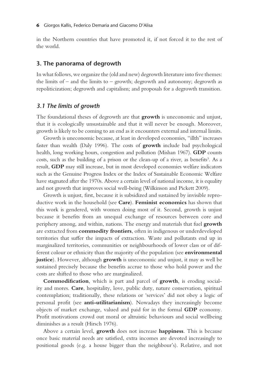in the Northern countries that have promoted it, if not forced it to the rest of the world.

#### **3. The panorama of degrowth**

In what follows, we organize the (old and new) degrowth literature into five themes: the limits of – and the limits to – growth; degrowth and autonomy; degrowth as repoliticization; degrowth and capitalism; and proposals for a degrowth transition.

#### *3.1 The limits of growth*

The foundational theses of degrowth are that **growth** is uneconomic and unjust, that it is ecologically unsustainable and that it will never be enough. Moreover, growth is likely to be coming to an end as it encounters external and internal limits.

Growth is uneconomic because, at least in developed economies, "illth" increases faster than wealth (Daly 1996). The costs of **growth** include bad psychological health, long working hours, congestion and pollution (Mishan 1967). **GDP** counts costs, such as the building of a prison or the clean-up of a river, as benefits<sup>3</sup>. As a result, **GDP** may still increase, but in most developed economies welfare indicators such as the Genuine Progress Index or the Index of Sustainable Economic Welfare have stagnated after the 1970s. Above a certain level of national income, it is equality and not growth that improves social well-being (Wilkinson and Pickett 2009).

Growth is unjust, first, because it is subsidized and sustained by invisible reproductive work in the household (see **Care**). **Feminist economics** has shown that this work is gendered, with women doing most of it. Second, growth is unjust because it benefits from an unequal exchange of resources between core and periphery among, and within, nations. The energy and materials that fuel **growth** are extracted from **commodity frontiers**, often in indigenous or underdeveloped territories that suffer the impacts of extraction. Waste and pollutants end up in marginalized territories, communities or neighbourhoods of lower class or of different colour or ethnicity than the majority of the population (see **environmental justice**). However, although **growth** is uneconomic and unjust, it may as well be sustained precisely because the benefits accrue to those who hold power and the costs are shifted to those who are marginalized.

**Commodification**, which is part and parcel of **growth**, is eroding sociality and mores. **Care**, hospitality, love, public duty, nature conservation, spiritual contemplation; traditionally, these relations or 'services' did not obey a logic of personal profit (see **anti-utilitarianism**). Nowadays they increasingly become objects of market exchange, valued and paid for in the formal **GDP** economy. Profit motivations crowd out moral or altruistic behaviours and social wellbeing diminishes as a result (Hirsch 1976).

Above a certain level, **growth** does not increase **happiness**. This is because once basic material needs are satisfied, extra incomes are devoted increasingly to positional goods (e.g. a house bigger than the neighbour's). Relative, and not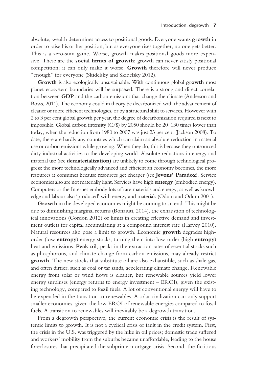absolute, wealth determines access to positional goods. Everyone wants **growth** in order to raise his or her position, but as everyone rises together, no one gets better. This is a zero-sum game. Worse, growth makes positional goods more expensive. These are the **social limits of growth**: growth can never satisfy positional competition; it can only make it worse. **Growth** therefore will never produce "enough" for everyone (Skidelsky and Skidelsky 2012).

**Growth** is also ecologically unsustainable. With continuous global **growth** most planet ecosystem boundaries will be surpassed. There is a strong and direct correlation between **GDP** and the carbon emissions that change the climate (Anderson and Bows, 2011). The economy could in theory be decarbonized with the advancement of cleaner or more efficient technologies, or by a structural shift to services. However with 2 to 3 per cent global growth per year, the degree of decarbonization required is next to impossible. Global carbon intensity (C/\$) by 2050 should be 20–130 times lower than today, when the reduction from 1980 to 2007 was just 23 per cent (Jackson 2008). To date, there are hardly any countries which can claim an absolute reduction in material use or carbon emissions while growing. When they do, this is because they outsourced dirty industrial activities to the developing world. Absolute reductions in energy and material use (see **dematerialization)** are unlikely to come through technological progress: the more technologically advanced and efficient an economy becomes, the more resources it consumes because resources get cheaper (see **Jevons' Paradox**). Service economies also are not materially light. Services have high **emergy** (embodied energy). Computers or the Internet embody lots of rare materials and energy, as well as knowledge and labour also 'produced' with energy and materials (Odum and Odum 2001).

**Growth** in the developed economies might be coming to an end. This might be due to diminishing marginal returns (Bonaiuti, 2014), the exhaustion of technological innovations (Gordon 2012) or limits in creating effective demand and investment outlets for capital accumulating at a compound interest rate (Harvey 2010). Natural resources also pose a limit to growth. Economic **growth** degrades highorder (low **entropy**) energy stocks, turning them into low-order (high **entropy**) heat and emissions. **Peak oil**, peaks in the extraction rates of essential stocks such as phosphorous, and climate change from carbon emissions, may already restrict **growth**. The new stocks that substitute oil are also exhaustible, such as shale gas, and often dirtier, such as coal or tar sands, accelerating climate change. Renewable energy from solar or wind flows is cleaner, but renewable sources yield lower energy surpluses (energy returns to energy investment – EROI), given the existing technology, compared to fossil fuels. A lot of conventional energy will have to be expended in the transition to renewables. A solar civilization can only support smaller economies, given the low EROI of renewable energies compared to fossil fuels. A transition to renewables will inevitably be a degrowth transition.

From a degrowth perspective, the current economic crisis is the result of systemic limits to growth. It is not a cyclical crisis or fault in the credit system. First, the crisis in the U.S. was triggered by the hike in oil prices; domestic trade suffered and workers' mobility from the suburbs became unaffordable, leading to the house foreclosures that precipitated the subprime mortgage crisis. Second, the fictitious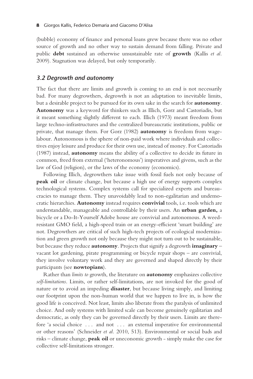(bubble) economy of finance and personal loans grew because there was no other source of growth and no other way to sustain demand from falling. Private and public **debt** sustained an otherwise unsustainable rate of **growth** (Kallis *et al.* 2009). Stagnation was delayed, but only temporarily.

## *3.2 Degrowth and autonomy*

The fact that there are limits and growth is coming to an end is not necessarily bad. For many degrowthers, degrowth is not an adaptation to inevitable limits, but a desirable project to be pursued for its own sake in the search for **autonomy**. **Autonomy** was a keyword for thinkers such as Illich, Gorz and Castoriadis, but it meant something slightly different to each. Illich (1973) meant freedom from large techno-infrastructures and the centralized bureaucratic institutions, public or private, that manage them. For Gorz (1982) **autonomy** is freedom from wagelabour. Autonomous is the sphere of non-paid work where individuals and collectives enjoy leisure and produce for their own use, instead of money. For Castoriadis (1987) instead, **autonomy** means the ability of a collective to decide its future in common, freed from external ('heteronomous') imperatives and givens, such as the law of God (religion), or the laws of the economy (economics).

Following Illich, degrowthers take issue with fossil fuels not only because of **peak oil** or climate change, but because a high use of energy supports complex technological systems. Complex systems call for specialized experts and bureaucracies to manage them. They unavoidably lead to non-egalitarian and undemocratic hierarchies. **Autonomy** instead requires **convivial** tools, i.e. tools which are understandable, manageable and controllable by their users. An **urban garden,** a bicycle or a Do-It-Yourself Adobe house are convivial and autonomous. A weedresistant GMO field, a high-speed train or an energy-efficient 'smart building' are not. Degrowthers are critical of such high-tech projects of ecological modernization and green growth not only because they might not turn out to be sustainable, but because they reduce **autonomy**. Projects that signify a degrowth **imaginary** – vacant lot gardening, pirate programming or bicycle repair shops – are convivial, they involve voluntary work and they are governed and shaped directly by their participants (see **nowtopians**).

Rather than *limits to* growth, the literature on **autonomy** emphasizes collective *self-limitations*. Limits, or rather self-limitations, are not invoked for the good of nature or to avoid an impeding **disaster**, but because living simply, and limiting our footprint upon the non-human world that we happen to live in, is how the good life is conceived. Not least, limits also liberate from the paralysis of unlimited choice. And only systems with limited scale can become genuinely egalitarian and democratic, as only they can be governed directly by their users. Limits are therefore 'a social choice . . . and not . . . an external imperative for environmental or other reasons' (Schneider *et al.* 2010, 513). Environmental or social bads and risks – climate change, **peak oil** or uneconomic growth - simply make the case for collective self-limitations stronger.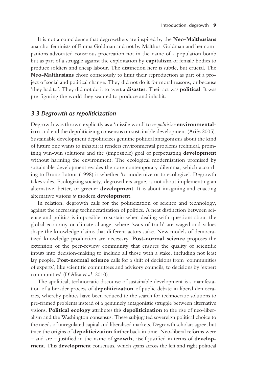It is not a coincidence that degrowthers are inspired by the **Neo-Malthusians** anarcho-feminists of Emma Goldman and not by Malthus. Goldman and her companions advocated conscious procreation not in the name of a population bomb but as part of a struggle against the exploitation by **capitalism** of female bodies to produce soldiers and cheap labour. The distinction here is subtle, but crucial. The **Neo-Malthusians** chose consciously to limit their reproduction as part of a project of social and political change. They did not do it for moral reasons, or because 'they had to'. They did not do it to avert a **disaster**. Their act was **political**. It was pre-figuring the world they wanted to produce and inhabit.

# *3.3 Degrowth as repoliticization*

Degrowth was thrown explicitly as a 'missile word' to *re-politicize* **environmentalism** and end the depoliticizing consensus on sustainable development (Ariès 2005). Sustainable development depoliticizes genuine political antagonisms about the kind of future one wants to inhabit; it renders environmental problems technical, promising win-win solutions and the (impossible) goal of perpetuating **development** without harming the environment. The ecological modernization promised by sustainable development evades the core contemporary dilemma, which according to Bruno Latour (1998) is whether 'to modernize or to ecologize'. Degrowth takes sides. Ecologizing society, degrowthers argue, is not about implementing an alternative, better, or greener **development**. It is about imagining and enacting alternative visions *to* modern **development**.

In relation, degrowth calls for the politicization of science and technology, against the increasing technocratization of politics. A neat distinction between science and politics is impossible to sustain when dealing with questions about the global economy or climate change, where 'wars of truth' are waged and values shape the knowledge claims that different actors stake. New models of democratized knowledge production are necessary. **Post-normal science** proposes the extension of the peer-review community that ensures the quality of scientific inputs into decision-making to include all those with a stake, including not least lay people. **Post-normal science** calls for a shift of decisions from 'communities of experts', like scientific committees and advisory councils, to decisions by 'expert communities' (D'Alisa *et al.* 2010).

The apolitical, technocratic discourse of sustainable development is a manifestation of a broader process of **depoliticization** of public debate in liberal democracies, whereby politics have been reduced to the search for technocratic solutions to pre-framed problems instead of a genuinely antagonistic struggle between alternative visions. **Political ecology** attributes this **depoliticization** to the rise of neo-liberalism and the Washington consensus. These subjugated sovereign political choice to the needs of unregulated capital and liberalised markets. Degrowth scholars agree, but trace the origins of **depoliticization** further back in time. Neo-liberal reforms were – and are – justified in the name of **growth,** itself justified in terms of **development**. This **development** consensus, which spans across the left and right political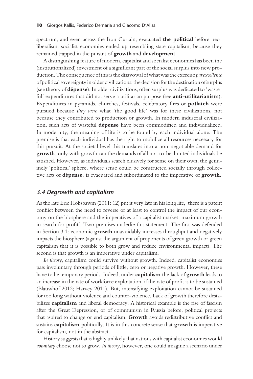spectrum, and even across the Iron Curtain, evacuated **the political** before neoliberalism: socialist economies ended up resembling state capitalism, because they remained trapped in the pursuit of **growth** and **development**.

A distinguishing feature of modern, capitalist and socialist economies has been the (institutionalized) investment of a significant part of the social surplus into new production. The consequence of this is the disavowal of what was the exercise *par excellence* of political sovereignty in older civilizations: the decision for the destination of surplus (see theory of **dépense**). In older civilizations, often surplus was dedicated to 'wasteful' expenditures that did not serve a utilitarian purpose (see **anti-utilitarianism**). Expenditures in pyramids, churches, festivals, celebratory fires or **potlatch** were pursued because *they were* what 'the good life' was for these civilizations, not because they contributed to production or growth. In modern industrial civilization, such acts of wasteful **dépense** have been commodified and individualized. In modernity, the meaning of life is to be found by each individual alone. The premise is that each individual has the right to mobilize all resources necessary for this pursuit. At the societal level this translates into a non-negotiable demand for **growth**: only with growth can the demands of all not-to-be-limited individuals be satisfied. However, as individuals search elusively for sense on their own, the genuinely 'political' sphere, where sense could be constructed socially through collective acts of **dépense**, is evacuated and subordinated to the imperative of **growth**.

# *3.4 Degrowth and capitalism*

As the late Eric Hobsbawm (2011: 12) put it very late in his long life, 'there is a patent conflict between the need to reverse or at least to control the impact of our economy on the biosphere and the imperatives of a capitalist market: maximum growth in search for profit'. Two premises underlie this statement. The first was defended in Section 3.1: economic **growth** unavoidably increases throughput and negatively impacts the biosphere (against the argument of proponents of green growth or green capitalism that it is possible to both grow and reduce environmental impact). The second is that growth is an imperative under capitalism.

*In theory*, capitalism could survive without growth. Indeed, capitalist economies pass involuntary through periods of little, zero or negative growth. However, these have to be temporary periods. Indeed, under **capitalism** the lack of **growth** leads to an increase in the rate of workforce exploitation, if the rate of profit is to be sustained (Blauwhof 2012; Harvey 2010). But, intensifying exploitation cannot be sustained for too long without violence and counter-violence. Lack of growth therefore destabilizes **capitalism** and liberal democracy. A historical example is the rise of fascism after the Great Depression, or of communism in Russia before, political projects that aspired to change or end capitalism. **Growth** avoids redistributive conflict and sustains **capitalism** politically. It is in this concrete sense that **growth** is imperative for capitalism, not in the abstract.

History suggests that is highly unlikely that nations with capitalist economies would *voluntary* choose not to grow. *In theory*, however, one could imagine a scenario under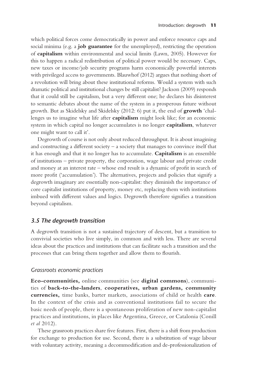which political forces come democratically in power and enforce resource caps and social minima (e.g. a **job guarantee** for the unemployed), restricting the operation of **capitalism** within environmental and social limits (Lawn, 2005). However for this to happen a radical redistribution of political power would be necessary. Caps, new taxes or income/job security programs harm economically powerful interests with privileged access to governments. Blauwhof (2012) argues that nothing short of a revolution will bring about these institutional reforms. Would a system with such dramatic political and institutional changes be still capitalist? Jackson (2009) responds that it could still be capitalism, but a very different one; he declares his disinterest to semantic debates about the name of the system in a prosperous future without growth. But as Skidelsky and Skidelsky (2012: 6) put it, the end of **growth** 'challenges us to imagine what life after **capitalism** might look like; for an economic system in which capital no longer accumulates is no longer **capitalism**, whatever one might want to call it'.

Degrowth of course is not only about reduced throughput. It is about imagining and constructing a different society – a society that manages to convince itself that it has enough and that it no longer has to accumulate. **Capitalism** is an ensemble of institutions – private property, the corporation, wage labour and private credit and money at an interest rate – whose end result is a dynamic of profit in search of more profit ('accumulation'). The alternatives, projects and policies that signify a degrowth imaginary are essentially non-capitalist: they diminish the importance of core capitalist institutions of property, money etc, replacing them with institutions imbued with different values and logics. Degrowth therefore signifies a transition beyond capitalism.

# *3.5 The degrowth transition*

A degrowth transition is not a sustained trajectory of descent, but a transition to convivial societies who live simply, in common and with less. There are several ideas about the practices and institutions that can facilitate such a transition and the processes that can bring them together and allow them to flourish.

#### *Grassroots economic practices*

**Eco-communities,** online communities (see **digital commons**), communities of **back-to-the-landers**, **cooperatives, urban gardens, community currencies,** time banks, barter markets, associations of child or health **care**. In the context of the crisis and as conventional institutions fail to secure the basic needs of people, there is a spontaneous proliferation of new non-capitalist practices and institutions, in places like Argentina, Greece, or Catalonia (Conill *et al* 2012).

These grassroots practices share five features. First, there is a shift from production for exchange to production for use. Second, there is a substitution of wage labour with voluntary activity, meaning a decommodification and de-professionalization of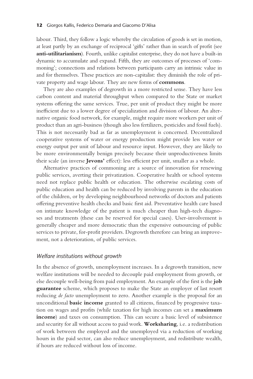labour. Third, they follow a logic whereby the circulation of goods is set in motion, at least partly by an exchange of reciprocal 'gifts' rather than in search of profit (see **anti-utilitarianism**). Fourth, unlike capitalist enterprise, they do not have a built-in dynamic to accumulate and expand. Fifth, they are outcomes of processes of 'commoning'; connections and relations between participants carry an intrinsic value in and for themselves. These practices are non-capitalist: they diminish the role of private property and wage labour. They are new forms of **commons**.

They are also examples of degrowth in a more restricted sense. They have less carbon content and material throughput when compared to the State or market systems offering the same services. True, per unit of product they might be more inefficient due to a lower degree of specialization and division of labour. An alternative organic food network, for example, might require more workers per unit of product than an agri-business (though also less fertilizers, pesticides and fossil fuels). This is not necessarily bad as far as unemployment is concerned. Decentralized cooperative systems of water or energy production might provide less water or energy output per unit of labour and resource input. However, they are likely to be more environmentally benign precisely because their unproductiveness limits their scale (an inverse **Jevons'** effect): less efficient per unit, smaller as a whole.

Alternative practices of commoning are a source of innovation for renewing public services, averting their privatization. Cooperative health or school systems need not replace public health or education. The otherwise escalating costs of public education and health can be reduced by involving parents in the education of the children, or by developing neighbourhood networks of doctors and patients offering preventive health checks and basic first aid. Preventative health care based on intimate knowledge of the patient is much cheaper than high-tech diagnoses and treatments (these can be reserved for special cases). User-involvement is generally cheaper and more democratic than the expensive outsourcing of public services to private, for-profit providers. Degrowth therefore can bring an improvement, not a deterioration, of public services.

#### *Welfare institutions without growth*

In the absence of growth, unemployment increases. In a degrowth transition, new welfare institutions will be needed to decouple paid employment from growth, or else decouple well-being from paid employment. An example of the first is the **job guarantee** scheme, which proposes to make the State an employer of last resort reducing *de facto* unemployment to zero. Another example is the proposal for an unconditional **basic income** granted to all citizens, financed by progressive taxation on wages and profits (while taxation for high incomes can set a **maximum income**) and taxes on consumption. This can secure a basic level of subsistence and security for all without access to paid work. **Worksharing**, i.e. a redistribution of work between the employed and the unemployed via a reduction of working hours in the paid sector, can also reduce unemployment, and redistribute wealth, if hours are reduced without loss of income.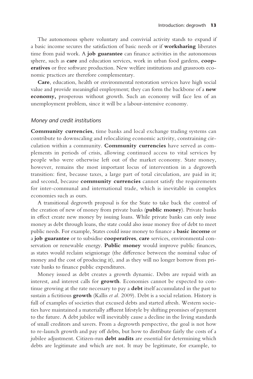The autonomous sphere voluntary and convivial activity stands to expand if a basic income secures the satisfaction of basic needs or if **worksharing** liberates time from paid work. A **job guarantee** can finance activities in the autonomous sphere, such as **care** and education services, work in urban food gardens, **cooperatives** or free software production. New welfare institutions and grassroots economic practices are therefore complementary.

**Care**, education, health or environmental restoration services have high social value and provide meaningful employment; they can form the backbone of a **new economy,** prosperous without growth. Such an economy will face less of an unemployment problem, since it will be a labour-intensive economy.

#### *Money and credit institutions*

**Community currencies**, time banks and local exchange trading systems can contribute to downscaling and relocalizing economic activity, constraining circulation within a community. **Community currencies** have served as complements in periods of crisis, allowing continued access to vital services by people who were otherwise left out of the market economy. State money, however, remains the most important locus of intervention in a degrowth transition: first, because taxes, a large part of total circulation, are paid in it; and second, because **community currencies** cannot satisfy the requirements for inter-communal and international trade, which is inevitable in complex economies such as ours.

A transitional degrowth proposal is for the State to take back the control of the creation of new of money from private banks (**public money**). Private banks in effect create new money by issuing loans. While private banks can only issue money as debt through loans, the state could also issue money free of debt to meet public needs. For example, States could issue money to finance a **basic income** or a **job guarantee** or to subsidise **cooperatives**, **care** services, environmental conservation or renewable energy. **Public money** would improve public finances, as states would reclaim seigniorage (the difference between the nominal value of money and the cost of producing it), and as they will no longer borrow from private banks to finance public expenditures.

Money issued as debt creates a growth dynamic. Debts are repaid with an interest, and interest calls for **growth**. Economies cannot be expected to continue growing at the rate necessary to pay a **debt** itself accumulated in the past to sustain a fictitious **growth** (Kallis *et al.* 2009). Debt is a social relation. History is full of examples of societies that excused debts and started afresh. Western societies have maintained a materially affluent lifestyle by shifting promises of payment to the future. A debt jubilee will inevitably cause a decline in the living standards of small creditors and savers. From a degrowth perspective, the goal is not how to re-launch growth and pay off debts, but how to distribute fairly the costs of a jubilee adjustment. Citizen-run **debt audits** are essential for determining which debts are legitimate and which are not. It may be legitimate, for example, to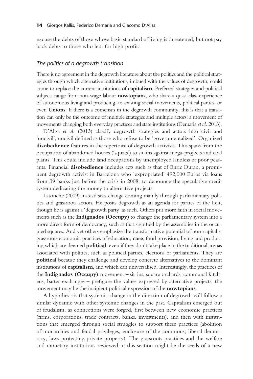excuse the debts of those whose basic standard of living is threatened, but not pay back debts to those who lent for high profit.

#### *The politics of a degrowth transition*

There is no agreement in the degrowth literature about the politics and the political strategies through which alternative institutions, imbued with the values of degrowth, could come to replace the current institutions of **capitalism**. Preferred strategies and political subjects range from non-wage labour **nowtopians**, who share a quasi-class experience of autonomous living and producing, to existing social movements, political parties, or even **Unions**. If there is a consensus in the degrowth community, this is that a transition can only be the outcome of multiple strategies and multiple actors; a movement of movements changing both everyday practices and state institutions (Demaria *et al.* 2013).

D'Alisa *et al.* (2013) classify degrowth strategies and actors into civil and 'uncivil', uncivil defined as those who refuse to be 'governmentalized'. Organized **disobedience** features in the repertoire of degrowth activists. This spans from the occupation of abandoned houses ('squats') to sit-ins against mega-projects and coal plants. This could include land occupations by unemployed landless or poor peasants. Financial **disobedience** includes acts such as that of Enric Duran, a prominent degrowth activist in Barcelona who 'expropriated' 492,000 Euros via loans from 39 banks just before the crisis in 2008, to denounce the speculative credit system dedicating the money to alternative projects.

Latouche (2009) instead sees change coming mainly through parliamentary politics and grassroots action. He posits degrowth as an agenda for parties of the Left, though he is against a 'degrowth party' as such. Others put more faith in social movements such as the **Indignados (Occupy)** to change the parliamentary system into a more direct form of democracy, such as that signified by the assemblies in the occupied squares. And yet others emphasize the transformative potential of non-capitalist grassroots economic practices of education, **care**, food provision, living and producing which are deemed **political**, even if they don't take place in the traditional arenas associated with politics, such as political parties, elections or parliaments. They are **political** because they challenge and develop concrete alternatives to the dominant institutions of **capitalism**, and which can universalised. Interestingly, the practices of the **Indignados (Occupy)** movement – sit-ins, square orchards, communal kitchens, barter exchanges – prefigure the values expressed by alternative projects; the movement may be the incipient political expression of the **nowtopians**.

A hypothesis is that systemic change in the direction of degrowth will follow a similar dynamic with other systemic changes in the past. Capitalism emerged out of feudalism, as connections were forged, first between new economic practices (firms, corporations, trade contracts, banks, investments), and then with institutions that emerged through social struggles to support these practices (abolition of monarchies and feudal privileges, enclosure of the commons, liberal democracy, laws protecting private property). The grassroots practices and the welfare and monetary institutions reviewed in this section might be the seeds of a new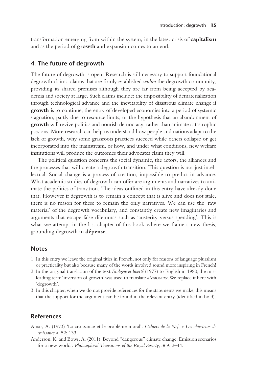transformation emerging from within the system, in the latest crisis of **capitalism** and as the period of **growth** and expansion comes to an end.

### **4. The future of degrowth**

The future of degrowth is open. Research is still necessary to support foundational degrowth claims, claims that are firmly established *within* the degrowth community, providing its shared premises although they are far from being accepted by academia and society at large. Such claims include: the impossibility of dematerialization through technological advance and the inevitability of disastrous climate change if **growth** is to continue; the entry of developed economies into a period of systemic stagnation, partly due to resource limits; or the hypothesis that an abandonment of **growth** will revive politics and nourish democracy, rather than animate catastrophic passions. More research can help us understand how people and nations adapt to the lack of growth, why some grassroots practices succeed while others collapse or get incorporated into the mainstream, or how, and under what conditions, new welfare institutions will produce the outcomes their advocates claim they will.

The political question concerns the social dynamic, the actors, the alliances and the processes that will create a degrowth transition. This question is not just intellectual. Social change is a process of creation, impossible to predict in advance. What academic studies of degrowth can offer are arguments and narratives to animate the politics of transition. The ideas outlined in this entry have already done that. However if degrowth is to remain a concept that is alive and does not stale, there is no reason for these to remain the only narratives. We can use the 'raw material' of the degrowth vocabulary, and constantly create new imaginaries and arguments that escape false dilemmas such as 'austerity versus spending'. This is what we attempt in the last chapter of this book where we frame a new thesis, grounding degrowth in **dépense**.

#### **Notes**

- 1 In this entry we leave the original titles in French, not only for reasons of language pluralism or practicality but also because many of the words involved sound more inspiring in French!
- 2 In the original translation of the text *Ecologie et liberté* (1977) to English in 1980, the misleading term 'inversion of growth' was used to translate *décroissance*. We replace it here with 'degrowth'.
- 3 In this chapter, when we do not provide references for the statements we make, this means that the support for the argument can be found in the relevant entry (identified in bold).

# **References**

- Amar, A. (1973) 'La croissance et le problème moral'. *Cahiers de la Nef*, *« Les objecteurs de croissance »*, 52: 133.
- Anderson, K. and Bows, A. (2011) 'Beyond "dangerous" climate change: Emission scenarios for a new world'. *Philosophical Transitions of the Royal Society*, 369: 2–44.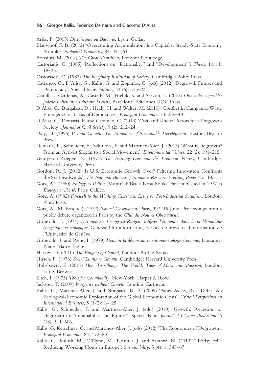Ariès, P. (2005) *Décroissance ou Barbarie*, Lyon: Golias.

- Blauwhof, F. B. (2012) 'Overcoming Accumulation: Is a Capitalist Steady-State Economy Possible?' *Ecological Economics*, 84: 254–61.
- Bonaiuti, M. (2014) *The Great Transition*, London: Routledge.
- Castoriadis, C. (1985) 'Reflections on "Rationality" and "Development"', *Thesis*, 10/11, 18–35.
- Castoriadis, C. (1987) *The Imaginary Institution of Society*, Cambridge: Polity Press.
- Cattaneo, C., D'Alisa, G., Kallis, G. and Zografos, C. (eds) (2012) 'Degrowth Futures and Democracy', Special Issue, *Futures*, 44 (6): 515–23.
- Conill, J., Cardenas, A., Castells, M., Hlebik, S. and Servon, L. (2012) *Otra vida es posible: prácticas alternativas durante la crisis*, Barcelona: Ediciones UOC Press.
- D'Alisa, G., Burgalassi, D., Healy, H. and Walter, M. (2010) 'Conflict in Campania: Waste Emergency or Crisis of Democracy', *Ecological Economics*, 70: 239–49.
- D'Alisa, G., Demaria, F. and Cattaneo, C. (2013) 'Civil and Uncivil Actors for a Degrowth Society', *Journal of Civil Society*, 9 (2): 212–24.
- Daly, H. (1996) *Beyond Growth: The Economics of Sustainable Development*, Boston: Beacon Press.
- Demaria, F., Schneider, F., Sekulova, F. and Martinez-Alier, J. (2013) 'What is Degrowth? From an Activist Slogan to a Social Movement', *Environmental Values*, 22 (2): 191–215.
- Georgescu-Roegen, N. (1971) *The Entropy Law and the Economic Process*, Cambridge: Harvard University Press.
- Gordon, R. J. (2012) 'Is U.S. Economic Growth Over? Faltering Innovation Confronts the Six Headwinds', *The National Bureau of Economic Research Working Paper* No. 18315.
- Gorz, A., (1980) *Ecology as Politics*, Montréal: Black Rosa Books. First published in 1977 as *Écologie et liberté*, Paris: Galilée.
- Gorz, A. (1982) *Farewell to the Working Class: An Essay on Post-Industrial Socialism*, London: Pluto Press.
- Gorz, A. (M. Bosquet) (1972) *Nouvel Observateur*, Paris, 397, 19 June. Proceedings from a public debate organized in Paris by the *Club du Nouvel Observateur.*
- Grinevald, J. (1974) *L'économiste Georgescu-Roegen: intégrer l'économie dans la problématique énergétique et écologique*, Geneva: Uni information, Service de presse et d'information de l'Université de Genève.
- Grinevald, J. and Rens, I. (1979) *Demain la décroissance: entropie-écologie-économie*, Lausanne: Pierre-Marcel Favre.
- Harvey, D. (2010) *The Enigma of Capital*, London: Profile Books.
- Hirsch, F. (1976) *Social Limits to Growth*, Cambridge: Harvard University Press.
- Hobsbawm, E. (2011) *How To Change The World: Tales of Marx and Marxism*, London: Little, Brown.
- Illich, I. (1973) *Tools for Conviviality*, New York: Harper & Row.
- Jackson, T. (2009) *Prosperity without Growth*, London: Earthscan.
- Kallis, G., Martinez-Alier, J. and Norgaard, R. B. (2009) 'Paper Assets, Real Debts: An Ecological-Economic Exploration of the Global Economic Crisis', *Critical Perspectives on International Business*, 5 (1/2): 14–25.
- Kallis, G., Schneider, F. and Martinez-Alier, J. (eds.) (2010) 'Growth, Recession or Degrowth for Sustainability and Equity?', Special Issue, *Journal of Cleaner Production*, 6 (18): 511–606.
- Kallis, G, Kerschner, C. and Martinez-Alier, J. (eds) (2012) 'The Economics of Degrowth', *Ecological Economics*, 84: 172–80.
- Kallis, G., Kalush, M., O'Flynn, M., Rossiter, J. and Ashford, N. (2013) '"Friday off": Reducing Working Hours in Europe', *Sustainability*, 5 (4): 1, 545–67.